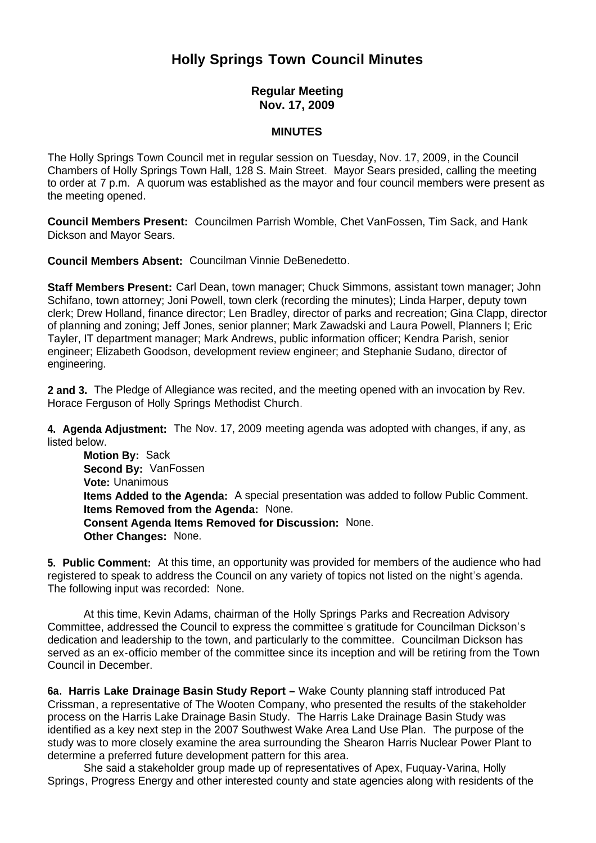## **Holly Springs Town Council Minutes**

## **Regular Meeting Nov. 17, 2009**

## **MINUTES**

The Holly Springs Town Council met in regular session on Tuesday, Nov. 17, 2009, in the Council Chambers of Holly Springs Town Hall, 128 S. Main Street. Mayor Sears presided, calling the meeting to order at 7 p.m. A quorum was established as the mayor and four council members were present as the meeting opened.

**Council Members Present:** Councilmen Parrish Womble, Chet VanFossen, Tim Sack, and Hank Dickson and Mayor Sears.

**Council Members Absent:** Councilman Vinnie DeBenedetto.

**Staff Members Present:** Carl Dean, town manager; Chuck Simmons, assistant town manager; John Schifano, town attorney; Joni Powell, town clerk (recording the minutes); Linda Harper, deputy town clerk; Drew Holland, finance director; Len Bradley, director of parks and recreation; Gina Clapp, director of planning and zoning; Jeff Jones, senior planner; Mark Zawadski and Laura Powell, Planners I; Eric Tayler, IT department manager; Mark Andrews, public information officer; Kendra Parish, senior engineer; Elizabeth Goodson, development review engineer; and Stephanie Sudano, director of engineering.

**2 and 3.** The Pledge of Allegiance was recited, and the meeting opened with an invocation by Rev. Horace Ferguson of Holly Springs Methodist Church.

**4. Agenda Adjustment:** The Nov. 17, 2009 meeting agenda was adopted with changes, if any, as listed below.

**Motion By: Sack Second By:** VanFossen **Vote:** Unanimous **Items Added to the Agenda:** A special presentation was added to follow Public Comment.  **Items Removed from the Agenda:** None. **Consent Agenda Items Removed for Discussion:** None. **Other Changes:** None.

**5. Public Comment:** At this time, an opportunity was provided for members of the audience who had registered to speak to address the Council on any variety of topics not listed on the night's agenda. The following input was recorded: None.

 At this time, Kevin Adams, chairman of the Holly Springs Parks and Recreation Advisory Committee, addressed the Council to express the committee's gratitude for Councilman Dickson's dedication and leadership to the town, and particularly to the committee. Councilman Dickson has served as an ex-officio member of the committee since its inception and will be retiring from the Town Council in December.

**6a. Harris Lake Drainage Basin Study Report –** Wake County planning staff introduced Pat Crissman, a representative of The Wooten Company, who presented the results of the stakeholder process on the Harris Lake Drainage Basin Study. The Harris Lake Drainage Basin Study was identified as a key next step in the 2007 Southwest Wake Area Land Use Plan. The purpose of the study was to more closely examine the area surrounding the Shearon Harris Nuclear Power Plant to determine a preferred future development pattern for this area.

 She said a stakeholder group made up of representatives of Apex, Fuquay-Varina, Holly Springs, Progress Energy and other interested county and state agencies along with residents of the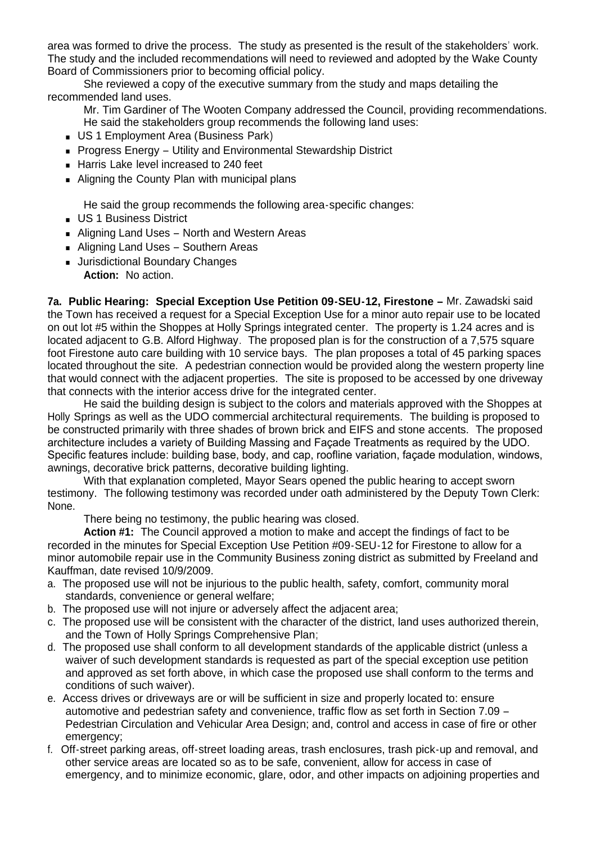area was formed to drive the process. The study as presented is the result of the stakeholders' work. The study and the included recommendations will need to reviewed and adopted by the Wake County Board of Commissioners prior to becoming official policy.

 She reviewed a copy of the executive summary from the study and maps detailing the recommended land uses.

 Mr. Tim Gardiner of The Wooten Company addressed the Council, providing recommendations. He said the stakeholders group recommends the following land uses:

- US 1 Employment Area (Business Park)
- Progress Energy Utility and Environmental Stewardship District
- Harris Lake level increased to 240 feet
- Aligning the County Plan with municipal plans

He said the group recommends the following area-specific changes:

- **US 1 Business District**
- Aligning Land Uses North and Western Areas
- Aligning Land Uses Southern Areas
- **Jurisdictional Boundary Changes**

**Action:** No action.

**7a. Public Hearing: Special Exception Use Petition 09-SEU-12, Firestone –** Mr. Zawadski said the Town has received a request for a Special Exception Use for a minor auto repair use to be located on out lot #5 within the Shoppes at Holly Springs integrated center. The property is 1.24 acres and is located adjacent to G.B. Alford Highway. The proposed plan is for the construction of a 7.575 square foot Firestone auto care building with 10 service bays. The plan proposes a total of 45 parking spaces located throughout the site. A pedestrian connection would be provided along the western property line that would connect with the adjacent properties. The site is proposed to be accessed by one driveway that connects with the interior access drive for the integrated center.

He said the building design is subject to the colors and materials approved with the Shoppes at Holly Springs as well as the UDO commercial architectural requirements. The building is proposed to be constructed primarily with three shades of brown brick and EIFS and stone accents. The proposed architecture includes a variety of Building Massing and Façade Treatments as required by the UDO. Specific features include: building base, body, and cap, roofline variation, façade modulation, windows, awnings, decorative brick patterns, decorative building lighting.

With that explanation completed, Mayor Sears opened the public hearing to accept sworn testimony. The following testimony was recorded under oath administered by the Deputy Town Clerk: None.

There being no testimony, the public hearing was closed.

**Action #1:** The Council approved a motion to make and accept the findings of fact to be recorded in the minutes for Special Exception Use Petition #09-SEU-12 for Firestone to allow for a minor automobile repair use in the Community Business zoning district as submitted by Freeland and Kauffman, date revised 10/9/2009.

- a. The proposed use will not be injurious to the public health, safety, comfort, community moral standards, convenience or general welfare;
- b. The proposed use will not injure or adversely affect the adjacent area;
- c. The proposed use will be consistent with the character of the district, land uses authorized therein, and the Town of Holly Springs Comprehensive Plan;
- d. The proposed use shall conform to all development standards of the applicable district (unless a waiver of such development standards is requested as part of the special exception use petition and approved as set forth above, in which case the proposed use shall conform to the terms and conditions of such waiver).
- e. Access drives or driveways are or will be sufficient in size and properly located to: ensure automotive and pedestrian safety and convenience, traffic flow as set forth in Section 7.09 – Pedestrian Circulation and Vehicular Area Design; and, control and access in case of fire or other emergency;
- f. Off-street parking areas, off-street loading areas, trash enclosures, trash pick-up and removal, and other service areas are located so as to be safe, convenient, allow for access in case of emergency, and to minimize economic, glare, odor, and other impacts on adjoining properties and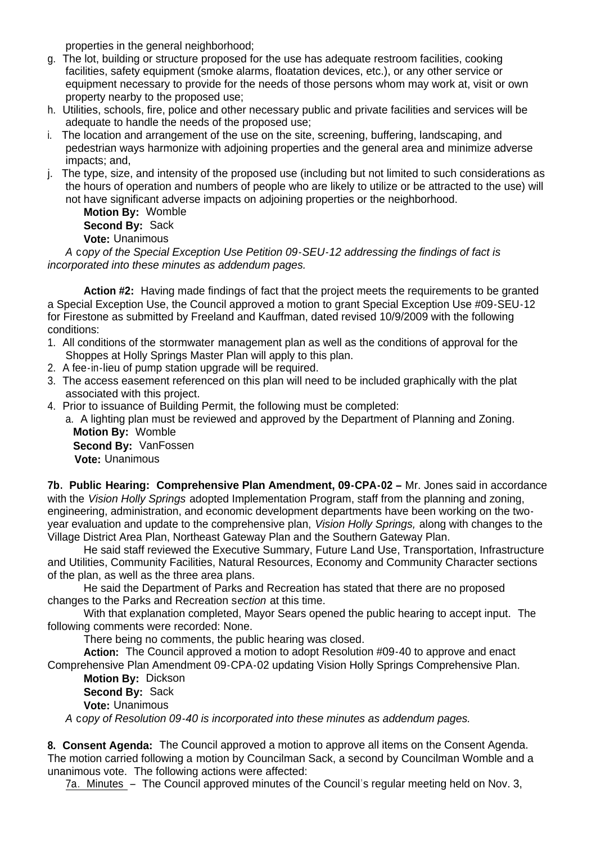properties in the general neighborhood;

- g. The lot, building or structure proposed for the use has adequate restroom facilities, cooking facilities, safety equipment (smoke alarms, floatation devices, etc.), or any other service or equipment necessary to provide for the needs of those persons whom may work at, visit or own property nearby to the proposed use;
- h. Utilities, schools, fire, police and other necessary public and private facilities and services will be adequate to handle the needs of the proposed use;
- i. The location and arrangement of the use on the site, screening, buffering, landscaping, and pedestrian ways harmonize with adjoining properties and the general area and minimize adverse impacts; and,
- j. The type, size, and intensity of the proposed use (including but not limited to such considerations as the hours of operation and numbers of people who are likely to utilize or be attracted to the use) will not have significant adverse impacts on adjoining properties or the neighborhood.

**Motion By:** Womble **Second By:** Sack **Vote:** Unanimous

*A* c*opy of the Special Exception Use Petition 09-SEU-12 addressing the findings of fact is incorporated into these minutes as addendum pages.*

**Action #2:** Having made findings of fact that the project meets the requirements to be granted a Special Exception Use, the Council approved a motion to grant Special Exception Use #09-SEU-12 for Firestone as submitted by Freeland and Kauffman, dated revised 10/9/2009 with the following conditions:

- 1. All conditions of the stormwater management plan as well as the conditions of approval for the Shoppes at Holly Springs Master Plan will apply to this plan.
- 2. A fee-in-lieu of pump station upgrade will be required.
- 3. The access easement referenced on this plan will need to be included graphically with the plat associated with this project.
- 4. Prior to issuance of Building Permit, the following must be completed:

a. A lighting plan must be reviewed and approved by the Department of Planning and Zoning. **Motion By:** Womble **Second By:** VanFossen

**Vote:** Unanimous

**7b. Public Hearing: Comprehensive Plan Amendment, 09-CPA-02 –** Mr. Jones said in accordance with the *Vision Holly Springs* adopted Implementation Program, staff from the planning and zoning, engineering, administration, and economic development departments have been working on the twoyear evaluation and update to the comprehensive plan, *Vision Holly Springs,* along with changes to the Village District Area Plan, Northeast Gateway Plan and the Southern Gateway Plan.

 He said staff reviewed the Executive Summary, Future Land Use, Transportation, Infrastructure and Utilities, Community Facilities, Natural Resources, Economy and Community Character sections of the plan, as well as the three area plans.

 He said the Department of Parks and Recreation has stated that there are no proposed changes to the Parks and Recreation s*ection* at this time.

 With that explanation completed, Mayor Sears opened the public hearing to accept input. The following comments were recorded: None.

There being no comments, the public hearing was closed.

**Action:** The Council approved a motion to adopt Resolution #09-40 to approve and enact Comprehensive Plan Amendment 09-CPA-02 updating Vision Holly Springs Comprehensive Plan.

**Motion By:** Dickson

**Second By:** Sack

**Vote:** Unanimous

*A* c*opy of Resolution 09-40 is incorporated into these minutes as addendum pages.*

**8. Consent Agenda:** The Council approved a motion to approve all items on the Consent Agenda. The motion carried following a motion by Councilman Sack, a second by Councilman Womble and a unanimous vote. The following actions were affected:

7a. Minutes – The Council approved minutes of the Council's regular meeting held on Nov. 3,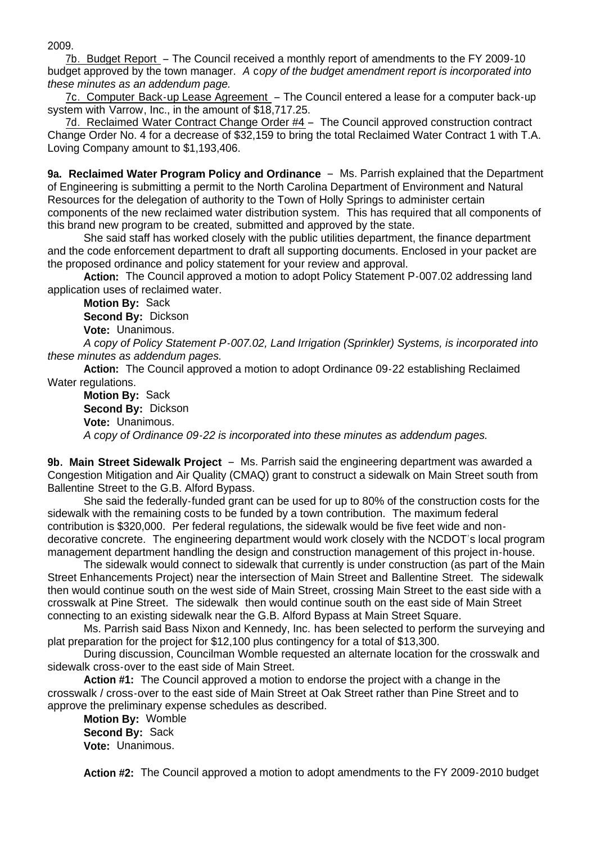2009.

7b. Budget Report – The Council received a monthly report of amendments to the FY 2009-10 budget approved by the town manager. *A* c*opy of the budget amendment report is incorporated into these minutes as an addendum page.*

7c. Computer Back-up Lease Agreement – The Council entered a lease for a computer back-up system with Varrow, Inc., in the amount of \$18,717.25.

7d. Reclaimed Water Contract Change Order #4 – The Council approved construction contract Change Order No. 4 for a decrease of \$32,159 to bring the total Reclaimed Water Contract 1 with T.A. Loving Company amount to \$1,193,406.

**9a. Reclaimed Water Program Policy and Ordinance** – Ms. Parrish explained that the Department of Engineering is submitting a permit to the North Carolina Department of Environment and Natural Resources for the delegation of authority to the Town of Holly Springs to administer certain components of the new reclaimed water distribution system. This has required that all components of this brand new program to be created, submitted and approved by the state.

She said staff has worked closely with the public utilities department, the finance department and the code enforcement department to draft all supporting documents. Enclosed in your packet are the proposed ordinance and policy statement for your review and approval.

 **Action:** The Council approved a motion to adopt Policy Statement P-007.02 addressing land application uses of reclaimed water.

**Motion By:** Sack **Second By:** Dickson **Vote:** Unanimous.

 *A copy of Policy Statement P-007.02, Land Irrigation (Sprinkler) Systems, is incorporated into these minutes as addendum pages.*

**Action:** The Council approved a motion to adopt Ordinance 09-22 establishing Reclaimed Water regulations.

**Motion By:** Sack **Second By:** Dickson **Vote:** Unanimous.  *A copy of Ordinance 09-22 is incorporated into these minutes as addendum pages.*

**9b. Main Street Sidewalk Project** – Ms. Parrish said the engineering department was awarded a Congestion Mitigation and Air Quality (CMAQ) grant to construct a sidewalk on Main Street south from Ballentine Street to the G.B. Alford Bypass.

She said the federally-funded grant can be used for up to 80% of the construction costs for the sidewalk with the remaining costs to be funded by a town contribution. The maximum federal contribution is \$320,000. Per federal regulations, the sidewalk would be five feet wide and nondecorative concrete. The engineering department would work closely with the NCDOT's local program management department handling the design and construction management of this project in-house.

The sidewalk would connect to sidewalk that currently is under construction (as part of the Main Street Enhancements Project) near the intersection of Main Street and Ballentine Street. The sidewalk then would continue south on the west side of Main Street, crossing Main Street to the east side with a crosswalk at Pine Street. The sidewalk then would continue south on the east side of Main Street connecting to an existing sidewalk near the G.B. Alford Bypass at Main Street Square.

Ms. Parrish said Bass Nixon and Kennedy, Inc. has been selected to perform the surveying and plat preparation for the project for \$12,100 plus contingency for a total of \$13,300.

 During discussion, Councilman Womble requested an alternate location for the crosswalk and sidewalk cross-over to the east side of Main Street.

 **Action #1:** The Council approved a motion to endorse the project with a change in the crosswalk / cross-over to the east side of Main Street at Oak Street rather than Pine Street and to approve the preliminary expense schedules as described.

**Motion By:** Womble **Second By:** Sack **Vote:** Unanimous.

**Action #2:** The Council approved a motion to adopt amendments to the FY 2009-2010 budget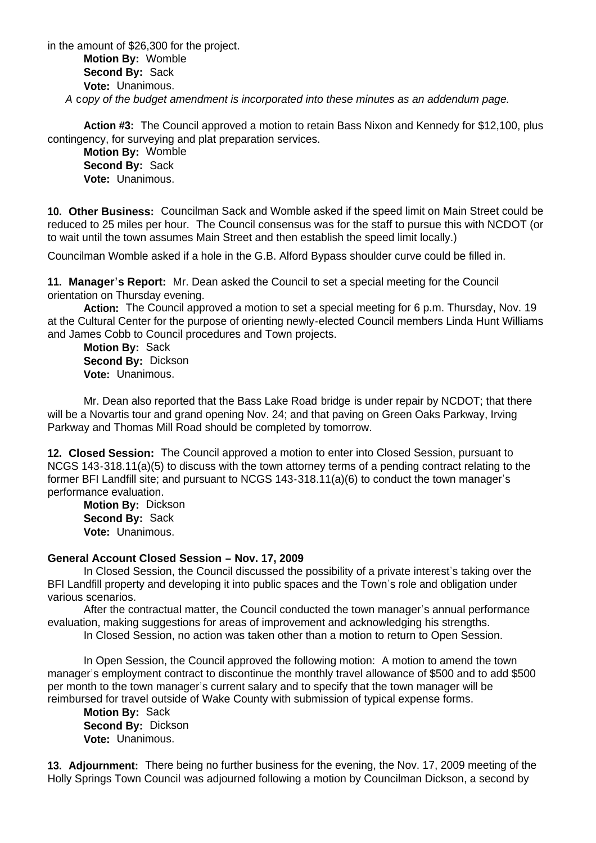in the amount of \$26,300 for the project. **Motion By:** Womble **Second By:** Sack **Vote:** Unanimous. *A* c*opy of the budget amendment is incorporated into these minutes as an addendum page.*

**Action #3:** The Council approved a motion to retain Bass Nixon and Kennedy for \$12,100, plus contingency, for surveying and plat preparation services.

**Motion By:** Womble **Second By:** Sack **Vote:** Unanimous.

**10. Other Business:** Councilman Sack and Womble asked if the speed limit on Main Street could be reduced to 25 miles per hour. The Council consensus was for the staff to pursue this with NCDOT (or to wait until the town assumes Main Street and then establish the speed limit locally.)

Councilman Womble asked if a hole in the G.B. Alford Bypass shoulder curve could be filled in.

**11. Manager's Report:** Mr. Dean asked the Council to set a special meeting for the Council orientation on Thursday evening.

 **Action:** The Council approved a motion to set a special meeting for 6 p.m. Thursday, Nov. 19 at the Cultural Center for the purpose of orienting newly-elected Council members Linda Hunt Williams and James Cobb to Council procedures and Town projects.

 **Motion By:** Sack  **Second By:** Dickson  **Vote:** Unanimous.

Mr. Dean also reported that the Bass Lake Road bridge is under repair by NCDOT; that there will be a Novartis tour and grand opening Nov. 24; and that paving on Green Oaks Parkway, Irving Parkway and Thomas Mill Road should be completed by tomorrow.

**12. Closed Session:** The Council approved a motion to enter into Closed Session, pursuant to NCGS 143-318.11(a)(5) to discuss with the town attorney terms of a pending contract relating to the former BFI Landfill site; and pursuant to NCGS 143-318.11(a)(6) to conduct the town manager's performance evaluation.

 **Motion By:** Dickson **Second By:** Sack **Vote:** Unanimous.

## **General Account Closed Session – Nov. 17, 2009**

 In Closed Session, the Council discussed the possibility of a private interest's taking over the BFI Landfill property and developing it into public spaces and the Town's role and obligation under various scenarios.

 After the contractual matter, the Council conducted the town manager's annual performance evaluation, making suggestions for areas of improvement and acknowledging his strengths.

In Closed Session, no action was taken other than a motion to return to Open Session.

 In Open Session, the Council approved the following motion: A motion to amend the town manager's employment contract to discontinue the monthly travel allowance of \$500 and to add \$500 per month to the town manager's current salary and to specify that the town manager will be reimbursed for travel outside of Wake County with submission of typical expense forms.

 **Motion By:** Sack **Second By:** Dickson **Vote:** Unanimous.

**13. Adjournment:** There being no further business for the evening, the Nov. 17, 2009 meeting of the Holly Springs Town Council was adjourned following a motion by Councilman Dickson, a second by